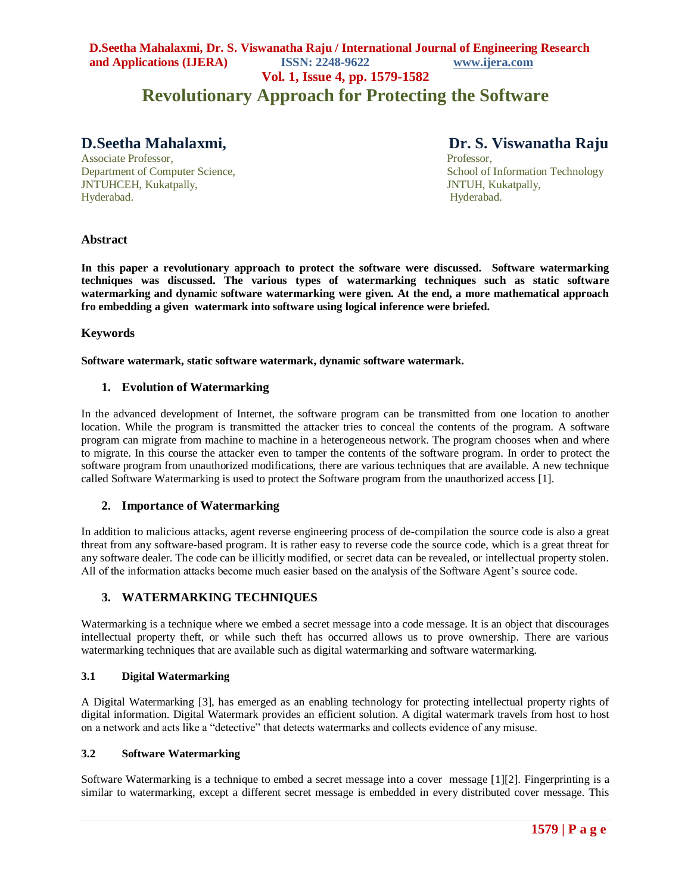# **D.Seetha Mahalaxmi, Dr. S. Viswanatha Raju / International Journal of Engineering Research and Applications (IJERA) ISSN: 2248-9622 www.ijera.com**

**Vol. 1, Issue 4, pp. 1579-1582**

# **Revolutionary Approach for Protecting the Software**

Associate Professor, Professor, Professor, Professor, Professor, Professor, Professor, Professor, Professor, Professor, Professor, Professor, Professor, Professor, Professor, Professor, Professor, Professor, Professor, Pro JNTUHCEH, Kukatpally, JNTUH, Kukatpally, Hyderabad. Hyderabad.

**D.Seetha Mahalaxmi, Dr. S. Viswanatha Raju**

Department of Computer Science, School of Information Technology

#### **Abstract**

**In this paper a revolutionary approach to protect the software were discussed. Software watermarking techniques was discussed. The various types of watermarking techniques such as static software watermarking and dynamic software watermarking were given. At the end, a more mathematical approach fro embedding a given watermark into software using logical inference were briefed.** 

#### **Keywords**

**Software watermark, static software watermark, dynamic software watermark.**

#### **1. Evolution of Watermarking**

In the advanced development of Internet, the software program can be transmitted from one location to another location. While the program is transmitted the attacker tries to conceal the contents of the program. A software program can migrate from machine to machine in a heterogeneous network. The program chooses when and where to migrate. In this course the attacker even to tamper the contents of the software program. In order to protect the software program from unauthorized modifications, there are various techniques that are available. A new technique called Software Watermarking is used to protect the Software program from the unauthorized access [1].

#### **2. Importance of Watermarking**

In addition to malicious attacks, agent reverse engineering process of de-compilation the source code is also a great threat from any software-based program. It is rather easy to reverse code the source code, which is a great threat for any software dealer. The code can be illicitly modified, or secret data can be revealed, or intellectual property stolen. All of the information attacks become much easier based on the analysis of the Software Agent's source code.

## **3. WATERMARKING TECHNIQUES**

Watermarking is a technique where we embed a secret message into a code message. It is an object that discourages intellectual property theft, or while such theft has occurred allows us to prove ownership. There are various watermarking techniques that are available such as digital watermarking and software watermarking.

#### **3.1 Digital Watermarking**

A Digital Watermarking [3], has emerged as an enabling technology for protecting intellectual property rights of digital information. Digital Watermark provides an efficient solution. A digital watermark travels from host to host on a network and acts like a "detective" that detects watermarks and collects evidence of any misuse.

#### **3.2 Software Watermarking**

Software Watermarking is a technique to embed a secret message into a cover message [1][2]. Fingerprinting is a similar to watermarking, except a different secret message is embedded in every distributed cover message. This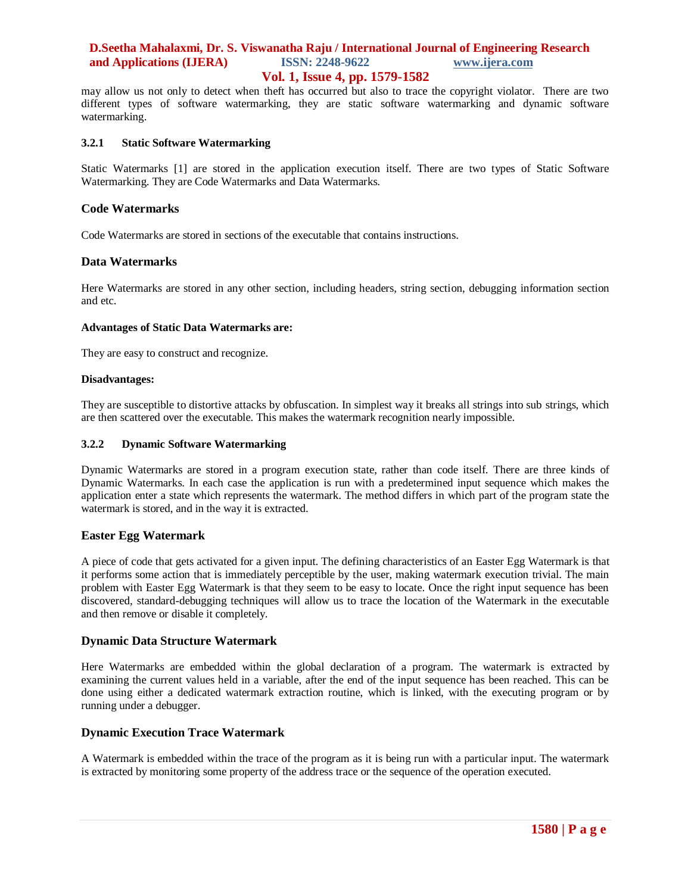# **D.Seetha Mahalaxmi, Dr. S. Viswanatha Raju / International Journal of Engineering Research and Applications (IJERA) ISSN: 2248-9622 www.ijera.com**

# **Vol. 1, Issue 4, pp. 1579-1582**

may allow us not only to detect when theft has occurred but also to trace the copyright violator. There are two different types of software watermarking, they are static software watermarking and dynamic software watermarking.

#### **3.2.1 Static Software Watermarking**

Static Watermarks [1] are stored in the application execution itself. There are two types of Static Software Watermarking. They are Code Watermarks and Data Watermarks.

#### **Code Watermarks**

Code Watermarks are stored in sections of the executable that contains instructions.

#### **Data Watermarks**

Here Watermarks are stored in any other section, including headers, string section, debugging information section and etc.

#### **Advantages of Static Data Watermarks are:**

They are easy to construct and recognize.

#### **Disadvantages:**

They are susceptible to distortive attacks by obfuscation. In simplest way it breaks all strings into sub strings, which are then scattered over the executable. This makes the watermark recognition nearly impossible.

#### **3.2.2 Dynamic Software Watermarking**

Dynamic Watermarks are stored in a program execution state, rather than code itself. There are three kinds of Dynamic Watermarks. In each case the application is run with a predetermined input sequence which makes the application enter a state which represents the watermark. The method differs in which part of the program state the watermark is stored, and in the way it is extracted.

#### **Easter Egg Watermark**

A piece of code that gets activated for a given input. The defining characteristics of an Easter Egg Watermark is that it performs some action that is immediately perceptible by the user, making watermark execution trivial. The main problem with Easter Egg Watermark is that they seem to be easy to locate. Once the right input sequence has been discovered, standard-debugging techniques will allow us to trace the location of the Watermark in the executable and then remove or disable it completely.

#### **Dynamic Data Structure Watermark**

Here Watermarks are embedded within the global declaration of a program. The watermark is extracted by examining the current values held in a variable, after the end of the input sequence has been reached. This can be done using either a dedicated watermark extraction routine, which is linked, with the executing program or by running under a debugger.

#### **Dynamic Execution Trace Watermark**

A Watermark is embedded within the trace of the program as it is being run with a particular input. The watermark is extracted by monitoring some property of the address trace or the sequence of the operation executed.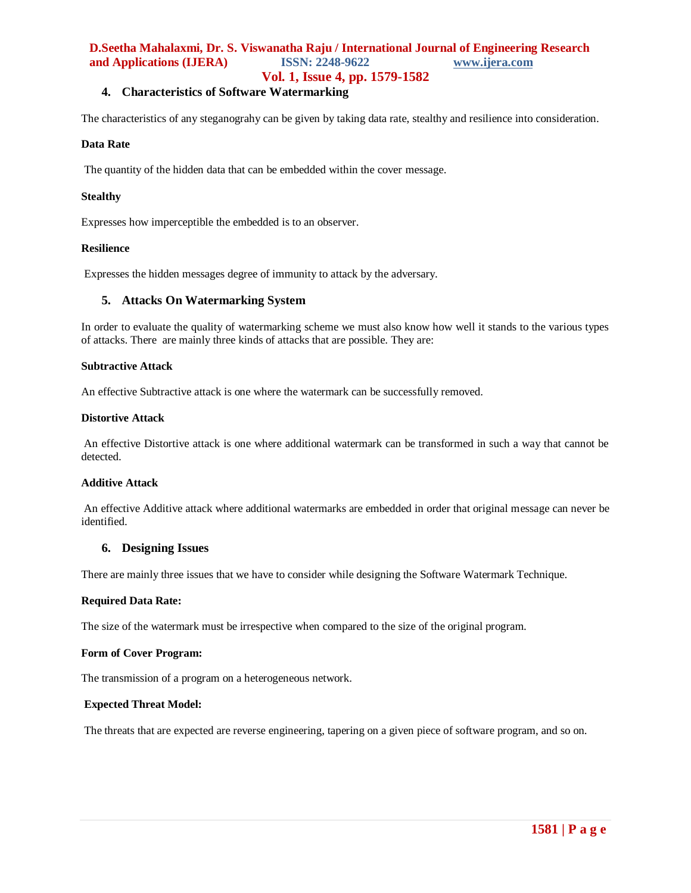# **D.Seetha Mahalaxmi, Dr. S. Viswanatha Raju / International Journal of Engineering Research and Applications (IJERA) ISSN: 2248-9622 www.ijera.com**

## **Vol. 1, Issue 4, pp. 1579-1582**

# **4. Characteristics of Software Watermarking**

The characteristics of any steganograhy can be given by taking data rate, stealthy and resilience into consideration.

#### **Data Rate**

The quantity of the hidden data that can be embedded within the cover message.

#### **Stealthy**

Expresses how imperceptible the embedded is to an observer.

#### **Resilience**

Expresses the hidden messages degree of immunity to attack by the adversary.

#### **5. Attacks On Watermarking System**

In order to evaluate the quality of watermarking scheme we must also know how well it stands to the various types of attacks. There are mainly three kinds of attacks that are possible. They are:

#### **Subtractive Attack**

An effective Subtractive attack is one where the watermark can be successfully removed.

#### **Distortive Attack**

An effective Distortive attack is one where additional watermark can be transformed in such a way that cannot be detected.

#### **Additive Attack**

An effective Additive attack where additional watermarks are embedded in order that original message can never be identified.

#### **6. Designing Issues**

There are mainly three issues that we have to consider while designing the Software Watermark Technique.

#### **Required Data Rate:**

The size of the watermark must be irrespective when compared to the size of the original program.

#### **Form of Cover Program:**

The transmission of a program on a heterogeneous network.

#### **Expected Threat Model:**

The threats that are expected are reverse engineering, tapering on a given piece of software program, and so on.